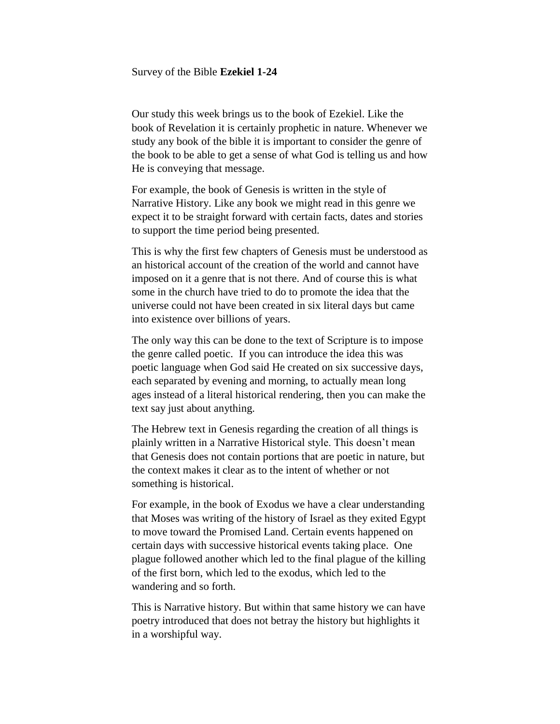#### Survey of the Bible **Ezekiel 1-24**

Our study this week brings us to the book of Ezekiel. Like the book of Revelation it is certainly prophetic in nature. Whenever we study any book of the bible it is important to consider the genre of the book to be able to get a sense of what God is telling us and how He is conveying that message.

For example, the book of Genesis is written in the style of Narrative History. Like any book we might read in this genre we expect it to be straight forward with certain facts, dates and stories to support the time period being presented.

This is why the first few chapters of Genesis must be understood as an historical account of the creation of the world and cannot have imposed on it a genre that is not there. And of course this is what some in the church have tried to do to promote the idea that the universe could not have been created in six literal days but came into existence over billions of years.

The only way this can be done to the text of Scripture is to impose the genre called poetic. If you can introduce the idea this was poetic language when God said He created on six successive days, each separated by evening and morning, to actually mean long ages instead of a literal historical rendering, then you can make the text say just about anything.

The Hebrew text in Genesis regarding the creation of all things is plainly written in a Narrative Historical style. This doesn't mean that Genesis does not contain portions that are poetic in nature, but the context makes it clear as to the intent of whether or not something is historical.

For example, in the book of Exodus we have a clear understanding that Moses was writing of the history of Israel as they exited Egypt to move toward the Promised Land. Certain events happened on certain days with successive historical events taking place. One plague followed another which led to the final plague of the killing of the first born, which led to the exodus, which led to the wandering and so forth.

This is Narrative history. But within that same history we can have poetry introduced that does not betray the history but highlights it in a worshipful way.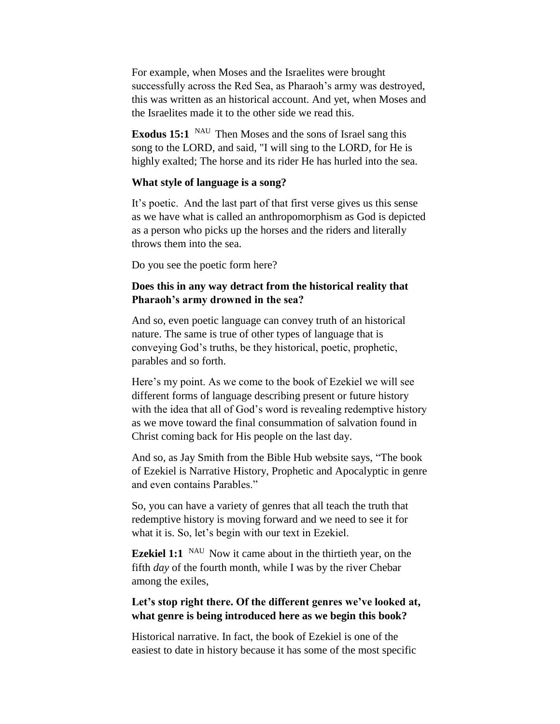For example, when Moses and the Israelites were brought successfully across the Red Sea, as Pharaoh's army was destroyed, this was written as an historical account. And yet, when Moses and the Israelites made it to the other side we read this.

**Exodus 15:1** NAU Then Moses and the sons of Israel sang this song to the LORD, and said, "I will sing to the LORD, for He is highly exalted; The horse and its rider He has hurled into the sea.

## **What style of language is a song?**

It's poetic. And the last part of that first verse gives us this sense as we have what is called an anthropomorphism as God is depicted as a person who picks up the horses and the riders and literally throws them into the sea.

Do you see the poetic form here?

# **Does this in any way detract from the historical reality that Pharaoh's army drowned in the sea?**

And so, even poetic language can convey truth of an historical nature. The same is true of other types of language that is conveying God's truths, be they historical, poetic, prophetic, parables and so forth.

Here's my point. As we come to the book of Ezekiel we will see different forms of language describing present or future history with the idea that all of God's word is revealing redemptive history as we move toward the final consummation of salvation found in Christ coming back for His people on the last day.

And so, as Jay Smith from the Bible Hub website says, "The book of Ezekiel is Narrative History, Prophetic and Apocalyptic in genre and even contains Parables."

So, you can have a variety of genres that all teach the truth that redemptive history is moving forward and we need to see it for what it is. So, let's begin with our text in Ezekiel.

**Ezekiel 1:1** <sup>NAU</sup> Now it came about in the thirtieth year, on the fifth *day* of the fourth month, while I was by the river Chebar among the exiles,

# **Let's stop right there. Of the different genres we've looked at, what genre is being introduced here as we begin this book?**

Historical narrative. In fact, the book of Ezekiel is one of the easiest to date in history because it has some of the most specific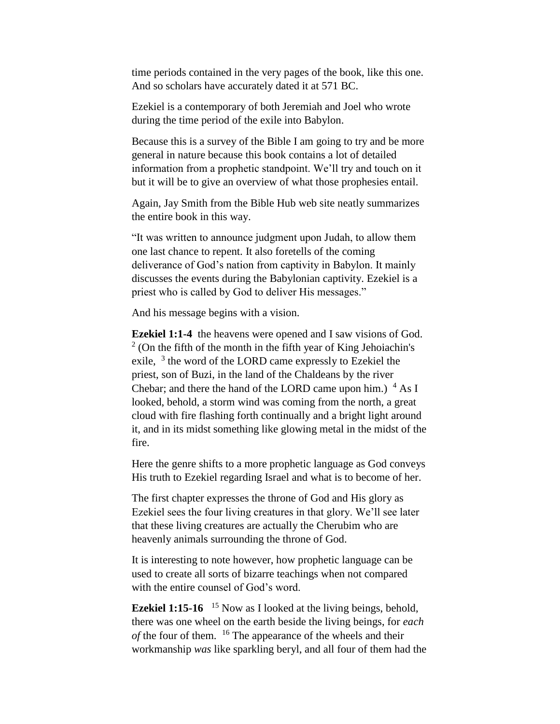time periods contained in the very pages of the book, like this one. And so scholars have accurately dated it at 571 BC.

Ezekiel is a contemporary of both Jeremiah and Joel who wrote during the time period of the exile into Babylon.

Because this is a survey of the Bible I am going to try and be more general in nature because this book contains a lot of detailed information from a prophetic standpoint. We'll try and touch on it but it will be to give an overview of what those prophesies entail.

Again, Jay Smith from the Bible Hub web site neatly summarizes the entire book in this way.

"It was written to announce judgment upon Judah, to allow them one last chance to repent. It also foretells of the coming deliverance of God's nation from captivity in Babylon. It mainly discusses the events during the Babylonian captivity. Ezekiel is a priest who is called by God to deliver His messages."

And his message begins with a vision.

**Ezekiel 1:1-4** the heavens were opened and I saw visions of God.  $2$  (On the fifth of the month in the fifth year of King Jehoiachin's exile, <sup>3</sup> the word of the LORD came expressly to Ezekiel the priest, son of Buzi, in the land of the Chaldeans by the river Chebar; and there the hand of the LORD came upon him.)  $4$  As I looked, behold, a storm wind was coming from the north, a great cloud with fire flashing forth continually and a bright light around it, and in its midst something like glowing metal in the midst of the fire.

Here the genre shifts to a more prophetic language as God conveys His truth to Ezekiel regarding Israel and what is to become of her.

The first chapter expresses the throne of God and His glory as Ezekiel sees the four living creatures in that glory. We'll see later that these living creatures are actually the Cherubim who are heavenly animals surrounding the throne of God.

It is interesting to note however, how prophetic language can be used to create all sorts of bizarre teachings when not compared with the entire counsel of God's word.

**Ezekiel 1:15-16** <sup>15</sup> Now as I looked at the living beings, behold, there was one wheel on the earth beside the living beings, for *each of* the four of them. <sup>16</sup> The appearance of the wheels and their workmanship *was* like sparkling beryl, and all four of them had the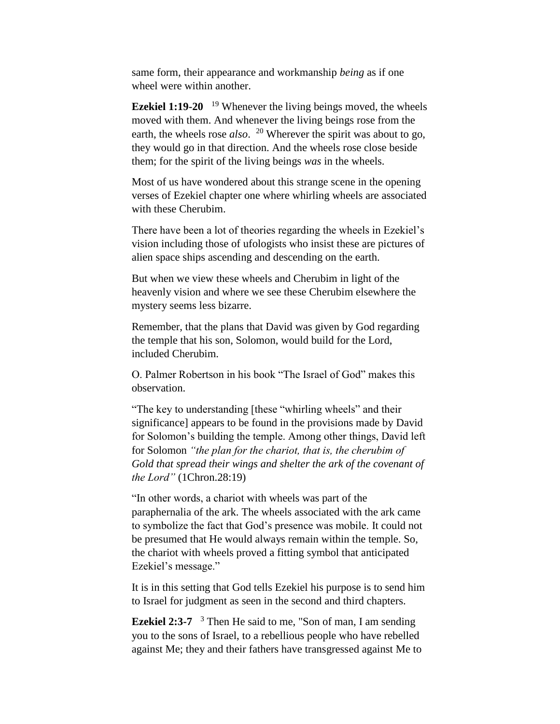same form, their appearance and workmanship *being* as if one wheel were within another.

**Ezekiel 1:19-20**  <sup>19</sup> Whenever the living beings moved, the wheels moved with them. And whenever the living beings rose from the earth, the wheels rose *also*. <sup>20</sup> Wherever the spirit was about to go, they would go in that direction. And the wheels rose close beside them; for the spirit of the living beings *was* in the wheels.

Most of us have wondered about this strange scene in the opening verses of Ezekiel chapter one where whirling wheels are associated with these Cherubim.

There have been a lot of theories regarding the wheels in Ezekiel's vision including those of ufologists who insist these are pictures of alien space ships ascending and descending on the earth.

But when we view these wheels and Cherubim in light of the heavenly vision and where we see these Cherubim elsewhere the mystery seems less bizarre.

Remember, that the plans that David was given by God regarding the temple that his son, Solomon, would build for the Lord, included Cherubim.

O. Palmer Robertson in his book "The Israel of God" makes this observation.

"The key to understanding [these "whirling wheels" and their significance] appears to be found in the provisions made by David for Solomon's building the temple. Among other things, David left for Solomon *"the plan for the chariot, that is, the cherubim of Gold that spread their wings and shelter the ark of the covenant of the Lord"* (1Chron.28:19)

"In other words, a chariot with wheels was part of the paraphernalia of the ark. The wheels associated with the ark came to symbolize the fact that God's presence was mobile. It could not be presumed that He would always remain within the temple. So, the chariot with wheels proved a fitting symbol that anticipated Ezekiel's message."

It is in this setting that God tells Ezekiel his purpose is to send him to Israel for judgment as seen in the second and third chapters.

**Ezekiel 2:3-7** <sup>3</sup> Then He said to me, "Son of man, I am sending you to the sons of Israel, to a rebellious people who have rebelled against Me; they and their fathers have transgressed against Me to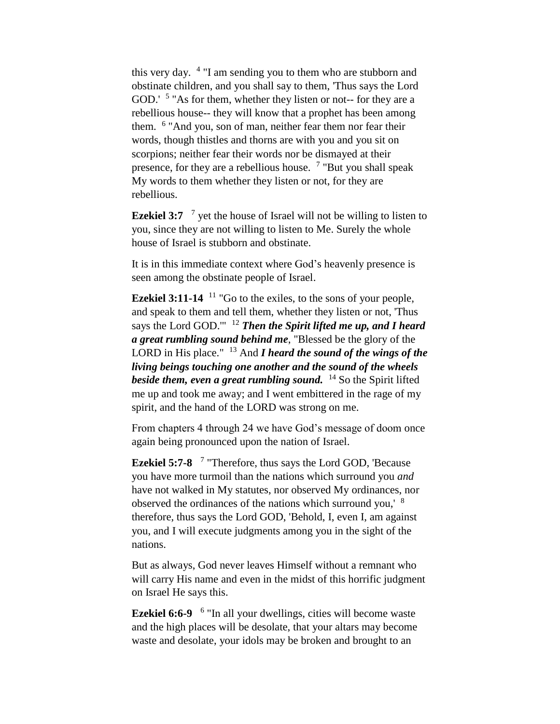this very day. <sup>4</sup> "I am sending you to them who are stubborn and obstinate children, and you shall say to them, 'Thus says the Lord GOD.' <sup>5</sup> "As for them, whether they listen or not-- for they are a rebellious house-- they will know that a prophet has been among them. <sup>6</sup> "And you, son of man, neither fear them nor fear their words, though thistles and thorns are with you and you sit on scorpions; neither fear their words nor be dismayed at their presence, for they are a rebellious house. <sup>7</sup> "But you shall speak My words to them whether they listen or not, for they are rebellious.

**Ezekiel 3:7** <sup>7</sup> yet the house of Israel will not be willing to listen to you, since they are not willing to listen to Me. Surely the whole house of Israel is stubborn and obstinate.

It is in this immediate context where God's heavenly presence is seen among the obstinate people of Israel.

**Ezekiel 3:11-14** <sup>11</sup> "Go to the exiles, to the sons of your people, and speak to them and tell them, whether they listen or not, 'Thus says the Lord GOD.<sup>""</sup> <sup>12</sup> *Then the Spirit lifted me up, and I heard a great rumbling sound behind me*, "Blessed be the glory of the LORD in His place." <sup>13</sup> And *I heard the sound of the wings of the living beings touching one another and the sound of the wheels beside them, even a great rumbling sound.* <sup>14</sup> So the Spirit lifted me up and took me away; and I went embittered in the rage of my spirit, and the hand of the LORD was strong on me.

From chapters 4 through 24 we have God's message of doom once again being pronounced upon the nation of Israel.

**Ezekiel 5:7-8**  7 "Therefore, thus says the Lord GOD, 'Because you have more turmoil than the nations which surround you *and*  have not walked in My statutes, nor observed My ordinances, nor observed the ordinances of the nations which surround you,' <sup>8</sup> therefore, thus says the Lord GOD, 'Behold, I, even I, am against you, and I will execute judgments among you in the sight of the nations.

But as always, God never leaves Himself without a remnant who will carry His name and even in the midst of this horrific judgment on Israel He says this.

Ezekiel 6:6-9 <sup>6</sup> "In all your dwellings, cities will become waste and the high places will be desolate, that your altars may become waste and desolate, your idols may be broken and brought to an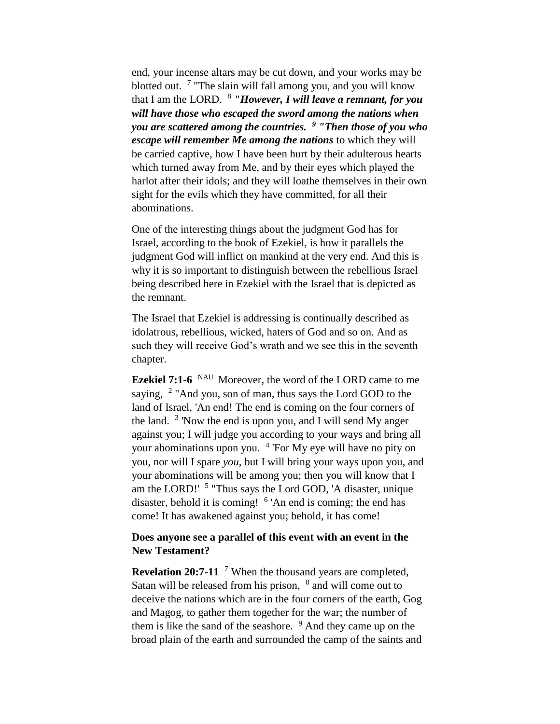end, your incense altars may be cut down, and your works may be blotted out. <sup>7</sup> "The slain will fall among you, and you will know that I am the LORD. <sup>8</sup> *"However, I will leave a remnant, for you will have those who escaped the sword among the nations when you are scattered among the countries. <sup>9</sup> "Then those of you who escape will remember Me among the nations* to which they will be carried captive, how I have been hurt by their adulterous hearts which turned away from Me, and by their eyes which played the harlot after their idols; and they will loathe themselves in their own sight for the evils which they have committed, for all their abominations.

One of the interesting things about the judgment God has for Israel, according to the book of Ezekiel, is how it parallels the judgment God will inflict on mankind at the very end. And this is why it is so important to distinguish between the rebellious Israel being described here in Ezekiel with the Israel that is depicted as the remnant.

The Israel that Ezekiel is addressing is continually described as idolatrous, rebellious, wicked, haters of God and so on. And as such they will receive God's wrath and we see this in the seventh chapter.

**Ezekiel 7:1-6** NAU Moreover, the word of the LORD came to me saying, <sup>2</sup> "And you, son of man, thus says the Lord GOD to the land of Israel, 'An end! The end is coming on the four corners of the land. <sup>3</sup> 'Now the end is upon you, and I will send My anger against you; I will judge you according to your ways and bring all your abominations upon you. <sup>4</sup> 'For My eye will have no pity on you, nor will I spare *you*, but I will bring your ways upon you, and your abominations will be among you; then you will know that I am the LORD!' <sup>5</sup> "Thus says the Lord GOD, 'A disaster, unique disaster, behold it is coming! <sup>6</sup> 'An end is coming; the end has come! It has awakened against you; behold, it has come!

## **Does anyone see a parallel of this event with an event in the New Testament?**

**Revelation 20:7-11** <sup>7</sup> When the thousand years are completed, Satan will be released from his prison,  $8$  and will come out to deceive the nations which are in the four corners of the earth, Gog and Magog, to gather them together for the war; the number of them is like the sand of the seashore. <sup>9</sup> And they came up on the broad plain of the earth and surrounded the camp of the saints and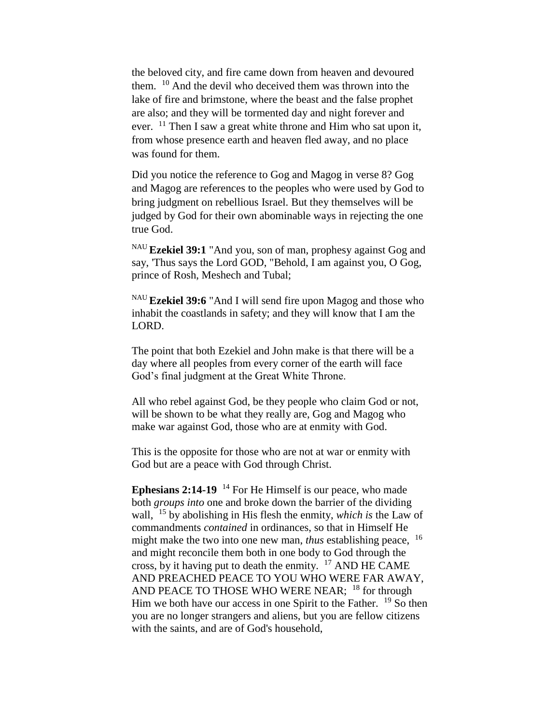the beloved city, and fire came down from heaven and devoured them. <sup>10</sup> And the devil who deceived them was thrown into the lake of fire and brimstone, where the beast and the false prophet are also; and they will be tormented day and night forever and ever. <sup>11</sup> Then I saw a great white throne and Him who sat upon it, from whose presence earth and heaven fled away, and no place was found for them.

Did you notice the reference to Gog and Magog in verse 8? Gog and Magog are references to the peoples who were used by God to bring judgment on rebellious Israel. But they themselves will be judged by God for their own abominable ways in rejecting the one true God.

NAU **Ezekiel 39:1** "And you, son of man, prophesy against Gog and say, 'Thus says the Lord GOD, "Behold, I am against you, O Gog, prince of Rosh, Meshech and Tubal;

NAU **Ezekiel 39:6** "And I will send fire upon Magog and those who inhabit the coastlands in safety; and they will know that I am the LORD.

The point that both Ezekiel and John make is that there will be a day where all peoples from every corner of the earth will face God's final judgment at the Great White Throne.

All who rebel against God, be they people who claim God or not, will be shown to be what they really are, Gog and Magog who make war against God, those who are at enmity with God.

This is the opposite for those who are not at war or enmity with God but are a peace with God through Christ.

**Ephesians 2:14-19** <sup>14</sup> For He Himself is our peace, who made both *groups into* one and broke down the barrier of the dividing wall, <sup>15</sup> by abolishing in His flesh the enmity, *which is* the Law of commandments *contained* in ordinances, so that in Himself He might make the two into one new man, *thus* establishing peace, <sup>16</sup> and might reconcile them both in one body to God through the cross, by it having put to death the enmity. <sup>17</sup> AND HE CAME AND PREACHED PEACE TO YOU WHO WERE FAR AWAY, AND PEACE TO THOSE WHO WERE NEAR; <sup>18</sup> for through Him we both have our access in one Spirit to the Father. <sup>19</sup> So then you are no longer strangers and aliens, but you are fellow citizens with the saints, and are of God's household,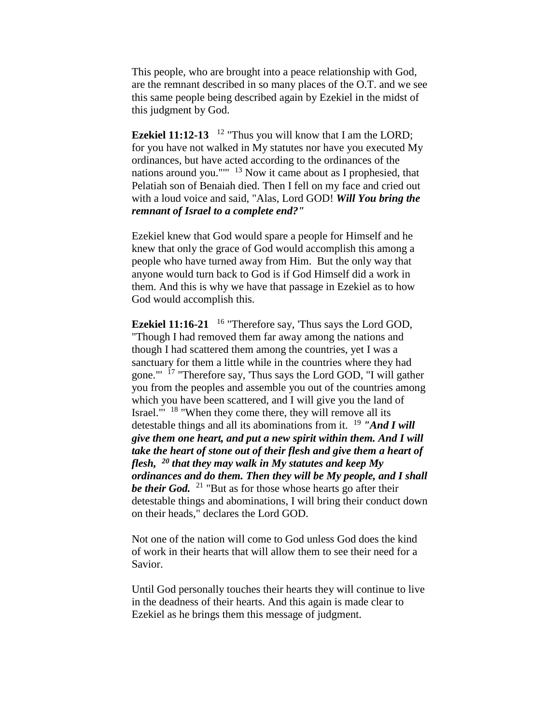This people, who are brought into a peace relationship with God, are the remnant described in so many places of the O.T. and we see this same people being described again by Ezekiel in the midst of this judgment by God.

**Ezekiel 11:12-13** <sup>12</sup> "Thus you will know that I am the LORD; for you have not walked in My statutes nor have you executed My ordinances, but have acted according to the ordinances of the nations around you."'" <sup>13</sup> Now it came about as I prophesied, that Pelatiah son of Benaiah died. Then I fell on my face and cried out with a loud voice and said, "Alas, Lord GOD! *Will You bring the remnant of Israel to a complete end?"*

Ezekiel knew that God would spare a people for Himself and he knew that only the grace of God would accomplish this among a people who have turned away from Him. But the only way that anyone would turn back to God is if God Himself did a work in them. And this is why we have that passage in Ezekiel as to how God would accomplish this.

**Ezekiel 11:16-21** <sup>16</sup> "Therefore say, 'Thus says the Lord GOD, "Though I had removed them far away among the nations and though I had scattered them among the countries, yet I was a sanctuary for them a little while in the countries where they had gone."' <sup>17</sup> "Therefore say, 'Thus says the Lord GOD, "I will gather you from the peoples and assemble you out of the countries among which you have been scattered, and I will give you the land of Israel."<sup>18</sup> "When they come there, they will remove all its detestable things and all its abominations from it. <sup>19</sup> *"And I will give them one heart, and put a new spirit within them. And I will take the heart of stone out of their flesh and give them a heart of flesh, <sup>20</sup> that they may walk in My statutes and keep My ordinances and do them. Then they will be My people, and I shall be their God.* <sup>21</sup> "But as for those whose hearts go after their detestable things and abominations, I will bring their conduct down on their heads," declares the Lord GOD.

Not one of the nation will come to God unless God does the kind of work in their hearts that will allow them to see their need for a Savior.

Until God personally touches their hearts they will continue to live in the deadness of their hearts. And this again is made clear to Ezekiel as he brings them this message of judgment.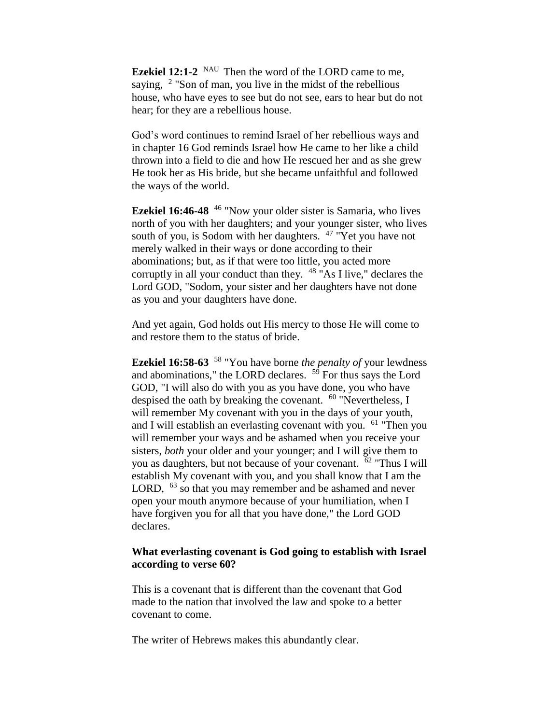**Ezekiel 12:1-2** <sup>NAU</sup> Then the word of the LORD came to me, saying,  $2$  "Son of man, you live in the midst of the rebellious house, who have eyes to see but do not see, ears to hear but do not hear; for they are a rebellious house.

God's word continues to remind Israel of her rebellious ways and in chapter 16 God reminds Israel how He came to her like a child thrown into a field to die and how He rescued her and as she grew He took her as His bride, but she became unfaithful and followed the ways of the world.

**Ezekiel 16:46-48** <sup>46</sup> "Now your older sister is Samaria, who lives north of you with her daughters; and your younger sister, who lives south of you, is Sodom with her daughters. <sup>47</sup> "Yet you have not merely walked in their ways or done according to their abominations; but, as if that were too little, you acted more corruptly in all your conduct than they. <sup>48</sup> "As I live," declares the Lord GOD, "Sodom, your sister and her daughters have not done as you and your daughters have done.

And yet again, God holds out His mercy to those He will come to and restore them to the status of bride.

**Ezekiel 16:58-63** <sup>58</sup> "You have borne *the penalty of* your lewdness and abominations," the LORD declares.  $5\overline{9}$  For thus says the Lord GOD, "I will also do with you as you have done, you who have despised the oath by breaking the covenant.  $60$  "Nevertheless, I will remember My covenant with you in the days of your youth, and I will establish an everlasting covenant with you.  $61$  "Then you will remember your ways and be ashamed when you receive your sisters, *both* your older and your younger; and I will give them to you as daughters, but not because of your covenant. <sup>62</sup> "Thus I will establish My covenant with you, and you shall know that I am the LORD, <sup>63</sup> so that you may remember and be ashamed and never open your mouth anymore because of your humiliation, when I have forgiven you for all that you have done," the Lord GOD declares.

## **What everlasting covenant is God going to establish with Israel according to verse 60?**

This is a covenant that is different than the covenant that God made to the nation that involved the law and spoke to a better covenant to come.

The writer of Hebrews makes this abundantly clear.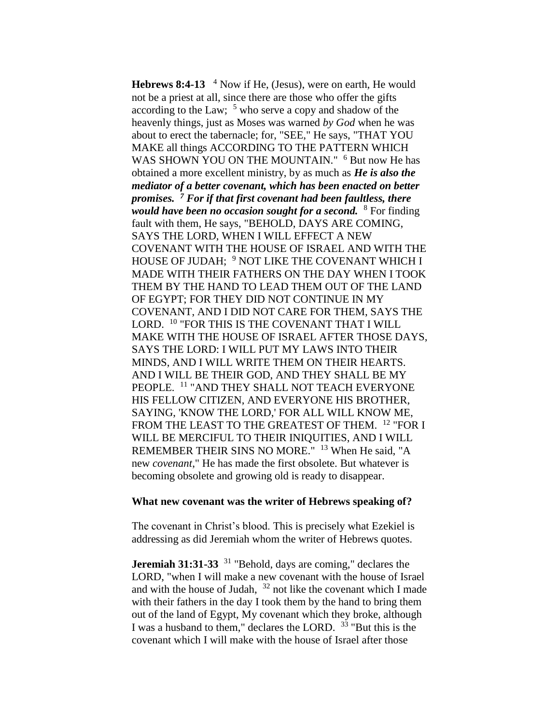**Hebrews 8:4-13**  <sup>4</sup> Now if He, (Jesus), were on earth, He would not be a priest at all, since there are those who offer the gifts according to the Law;  $5 \text{ who serve a copy and shadow of the}$ heavenly things, just as Moses was warned *by God* when he was about to erect the tabernacle; for, "SEE," He says, "THAT YOU MAKE all things ACCORDING TO THE PATTERN WHICH WAS SHOWN YOU ON THE MOUNTAIN." <sup>6</sup> But now He has obtained a more excellent ministry, by as much as *He is also the mediator of a better covenant, which has been enacted on better promises. <sup>7</sup> For if that first covenant had been faultless, there would have been no occasion sought for a second.* <sup>8</sup> For finding fault with them, He says, "BEHOLD, DAYS ARE COMING, SAYS THE LORD, WHEN I WILL EFFECT A NEW COVENANT WITH THE HOUSE OF ISRAEL AND WITH THE HOUSE OF JUDAH; <sup>9</sup> NOT LIKE THE COVENANT WHICH I MADE WITH THEIR FATHERS ON THE DAY WHEN I TOOK THEM BY THE HAND TO LEAD THEM OUT OF THE LAND OF EGYPT; FOR THEY DID NOT CONTINUE IN MY COVENANT, AND I DID NOT CARE FOR THEM, SAYS THE LORD. <sup>10</sup> "FOR THIS IS THE COVENANT THAT I WILL MAKE WITH THE HOUSE OF ISRAEL AFTER THOSE DAYS, SAYS THE LORD: I WILL PUT MY LAWS INTO THEIR MINDS, AND I WILL WRITE THEM ON THEIR HEARTS. AND I WILL BE THEIR GOD, AND THEY SHALL BE MY PEOPLE. <sup>11</sup> "AND THEY SHALL NOT TEACH EVERYONE HIS FELLOW CITIZEN, AND EVERYONE HIS BROTHER, SAYING, 'KNOW THE LORD,' FOR ALL WILL KNOW ME, FROM THE LEAST TO THE GREATEST OF THEM. <sup>12</sup> "FOR I WILL BE MERCIFUL TO THEIR INIQUITIES, AND I WILL REMEMBER THEIR SINS NO MORE." <sup>13</sup> When He said, "A new *covenant*," He has made the first obsolete. But whatever is becoming obsolete and growing old is ready to disappear.

#### **What new covenant was the writer of Hebrews speaking of?**

The covenant in Christ's blood. This is precisely what Ezekiel is addressing as did Jeremiah whom the writer of Hebrews quotes.

**Jeremiah 31:31-33** <sup>31</sup> "Behold, days are coming," declares the LORD, "when I will make a new covenant with the house of Israel and with the house of Judah,  $32$  not like the covenant which I made with their fathers in the day I took them by the hand to bring them out of the land of Egypt, My covenant which they broke, although I was a husband to them," declares the LORD. <sup>33</sup> "But this is the covenant which I will make with the house of Israel after those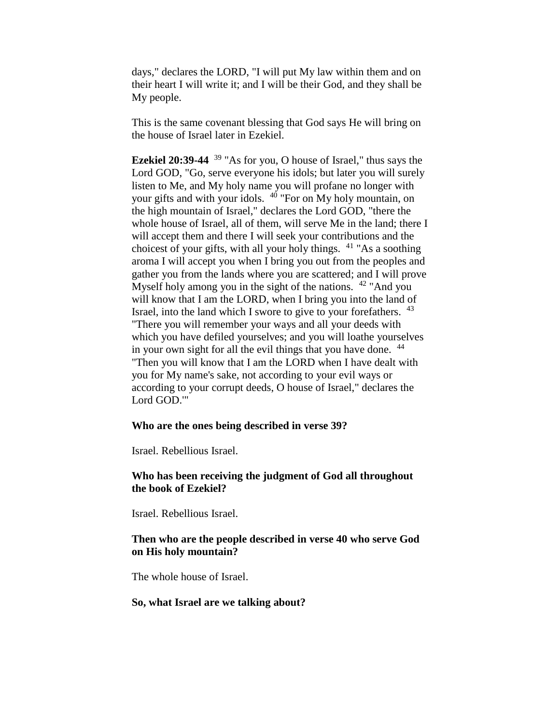days," declares the LORD, "I will put My law within them and on their heart I will write it; and I will be their God, and they shall be My people.

This is the same covenant blessing that God says He will bring on the house of Israel later in Ezekiel.

**Ezekiel 20:39-44** <sup>39</sup> "As for you, O house of Israel," thus says the Lord GOD, "Go, serve everyone his idols; but later you will surely listen to Me, and My holy name you will profane no longer with your gifts and with your idols. <sup>40</sup> "For on My holy mountain, on the high mountain of Israel," declares the Lord GOD, "there the whole house of Israel, all of them, will serve Me in the land; there I will accept them and there I will seek your contributions and the choicest of your gifts, with all your holy things.  $41$  "As a soothing aroma I will accept you when I bring you out from the peoples and gather you from the lands where you are scattered; and I will prove Myself holy among you in the sight of the nations. <sup>42</sup> "And you will know that I am the LORD, when I bring you into the land of Israel, into the land which I swore to give to your forefathers. <sup>43</sup> "There you will remember your ways and all your deeds with which you have defiled yourselves; and you will loathe yourselves in your own sight for all the evil things that you have done.  $44$ "Then you will know that I am the LORD when I have dealt with you for My name's sake, not according to your evil ways or according to your corrupt deeds, O house of Israel," declares the Lord GOD.'"

### **Who are the ones being described in verse 39?**

Israel. Rebellious Israel.

## **Who has been receiving the judgment of God all throughout the book of Ezekiel?**

Israel. Rebellious Israel.

## **Then who are the people described in verse 40 who serve God on His holy mountain?**

The whole house of Israel.

### **So, what Israel are we talking about?**